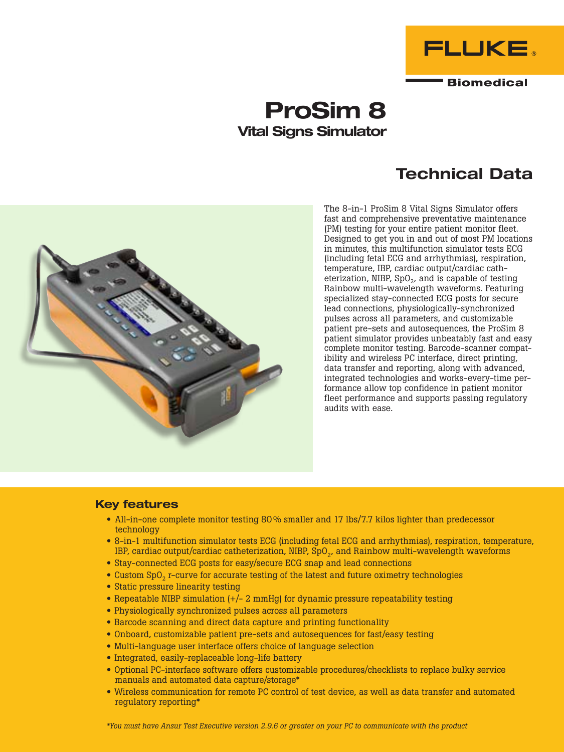

# ProSim 8 Vital Signs Simulator

## Technical Data



The 8-in-1 ProSim 8 Vital Signs Simulator offers fast and comprehensive preventative maintenance (PM) testing for your entire patient monitor fleet. Designed to get you in and out of most PM locations in minutes, this multifunction simulator tests ECG (including fetal ECG and arrhythmias), respiration, temperature, IBP, cardiac output/cardiac catheterization, NIBP,  $SpO<sub>2</sub>$ , and is capable of testing Rainbow multi-wavelength waveforms. Featuring specialized stay-connected ECG posts for secure lead connections, physiologically-synchronized pulses across all parameters, and customizable patient pre-sets and autosequences, the ProSim 8 patient simulator provides unbeatably fast and easy complete monitor testing. Barcode-scanner compatibility and wireless PC interface, direct printing, data transfer and reporting, along with advanced, integrated technologies and works-every-time performance allow top confidence in patient monitor fleet performance and supports passing regulatory audits with ease.

## Key features

- All-in-one complete monitor testing 80% smaller and 17 lbs/7.7 kilos lighter than predecessor technology
- 8-in-1 multifunction simulator tests ECG (including fetal ECG and arrhythmias), respiration, temperature, IBP, cardiac output/cardiac catheterization, NIBP, SpO<sub>2</sub>, and Rainbow multi-wavelength waveforms
- Stay-connected ECG posts for easy/secure ECG snap and lead connections
- Custom SpO<sub>2</sub> r-curve for accurate testing of the latest and future oximetry technologies
- Static pressure linearity testing
- Repeatable NIBP simulation  $\left(+\right)$  2 mmHg) for dynamic pressure repeatability testing
- Physiologically synchronized pulses across all parameters
- Barcode scanning and direct data capture and printing functionality
- Onboard, customizable patient pre-sets and autosequences for fast/easy testing
- Multi-language user interface offers choice of language selection
- Integrated, easily-replaceable long-life battery
- Optional PC-interface software offers customizable procedures/checklists to replace bulky service manuals and automated data capture/storage\*
- Wireless communication for remote PC control of test device, as well as data transfer and automated regulatory reporting\*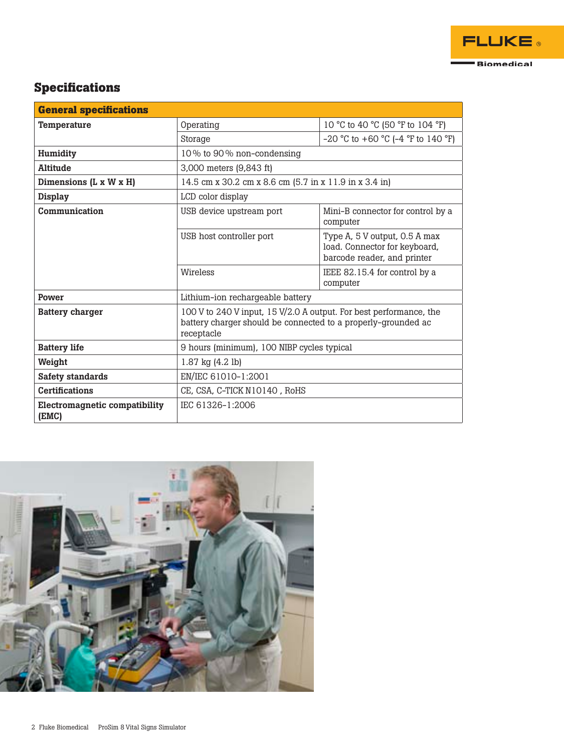

## **Specifications**

| <b>General specifications</b>                 |                                                                                                                                                   |                                                                                               |
|-----------------------------------------------|---------------------------------------------------------------------------------------------------------------------------------------------------|-----------------------------------------------------------------------------------------------|
| Temperature                                   | Operating                                                                                                                                         | 10 °C to 40 °C (50 °F to 104 °F)                                                              |
|                                               | Storage                                                                                                                                           | $-20$ °C to $+60$ °C ( $-4$ °F to 140 °F)                                                     |
| Humidity                                      | 10% to 90% non-condensing                                                                                                                         |                                                                                               |
| Altitude                                      | 3,000 meters (9,843 ft)                                                                                                                           |                                                                                               |
| Dimensions (L x W x H)                        | 14.5 cm x 30.2 cm x 8.6 cm (5.7 in x 11.9 in x 3.4 in)                                                                                            |                                                                                               |
| <b>Display</b>                                | LCD color display                                                                                                                                 |                                                                                               |
| Communication                                 | USB device upstream port                                                                                                                          | Mini-B connector for control by a<br>computer                                                 |
|                                               | USB host controller port                                                                                                                          | Type A, 5 V output, 0.5 A max<br>load. Connector for keyboard,<br>barcode reader, and printer |
|                                               | Wireless                                                                                                                                          | IEEE 82.15.4 for control by a<br>computer                                                     |
| Power                                         | Lithium-ion rechargeable battery                                                                                                                  |                                                                                               |
| <b>Battery charger</b>                        | 100 V to 240 V input, 15 V/2.0 A output. For best performance, the<br>battery charger should be connected to a properly-grounded ac<br>receptacle |                                                                                               |
| <b>Battery life</b>                           | 9 hours (minimum), 100 NIBP cycles typical                                                                                                        |                                                                                               |
| Weight                                        | 1.87 kg (4.2 lb)                                                                                                                                  |                                                                                               |
| <b>Safety standards</b>                       | EN/IEC 61010-1:2001                                                                                                                               |                                                                                               |
| <b>Certifications</b>                         | CE, CSA, C-TICK N10140, RoHS                                                                                                                      |                                                                                               |
| <b>Electromagnetic compatibility</b><br>(EMC) | IEC 61326-1:2006                                                                                                                                  |                                                                                               |

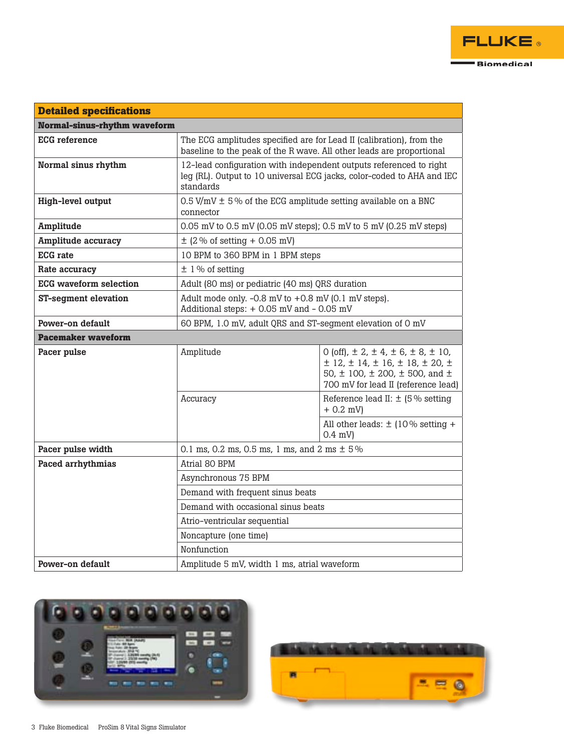

| <b>Detailed specifications</b>      |                                                                                                                                                           |                                                                                                                                                                                            |
|-------------------------------------|-----------------------------------------------------------------------------------------------------------------------------------------------------------|--------------------------------------------------------------------------------------------------------------------------------------------------------------------------------------------|
| <b>Normal-sinus-rhythm waveform</b> |                                                                                                                                                           |                                                                                                                                                                                            |
| <b>ECG</b> reference                | The ECG amplitudes specified are for Lead II (calibration), from the<br>baseline to the peak of the R wave. All other leads are proportional              |                                                                                                                                                                                            |
| Normal sinus rhythm                 | 12-lead configuration with independent outputs referenced to right<br>leg (RL). Output to 10 universal ECG jacks, color-coded to AHA and IEC<br>standards |                                                                                                                                                                                            |
| High-level output                   | $0.5$ V/mV $\pm$ 5% of the ECG amplitude setting available on a BNC<br>connector                                                                          |                                                                                                                                                                                            |
| <b>Amplitude</b>                    | 0.05 mV to 0.5 mV (0.05 mV steps); 0.5 mV to 5 mV (0.25 mV steps)                                                                                         |                                                                                                                                                                                            |
| <b>Amplitude accuracy</b>           | $\pm$ (2 % of setting + 0.05 mV)                                                                                                                          |                                                                                                                                                                                            |
| <b>ECG</b> rate                     | 10 BPM to 360 BPM in 1 BPM steps                                                                                                                          |                                                                                                                                                                                            |
| Rate accuracy                       | $±$ 1% of setting                                                                                                                                         |                                                                                                                                                                                            |
| <b>ECG</b> waveform selection       | Adult (80 ms) or pediatric (40 ms) QRS duration                                                                                                           |                                                                                                                                                                                            |
| <b>ST-segment elevation</b>         | Adult mode only. $-0.8$ mV to $+0.8$ mV (0.1 mV steps).<br>Additional steps: + 0.05 mV and - 0.05 mV                                                      |                                                                                                                                                                                            |
| Power-on default                    | 60 BPM, 1.0 mV, adult QRS and ST-segment elevation of 0 mV                                                                                                |                                                                                                                                                                                            |
| <b>Pacemaker waveform</b>           |                                                                                                                                                           |                                                                                                                                                                                            |
| Pacer pulse                         | Amplitude                                                                                                                                                 | 0 (off), $\pm$ 2, $\pm$ 4, $\pm$ 6, $\pm$ 8, $\pm$ 10,<br>$\pm$ 12, $\pm$ 14, $\pm$ 16, $\pm$ 18, $\pm$ 20, $\pm$<br>50, ± 100, ± 200, ± 500, and ±<br>700 mV for lead II (reference lead) |
|                                     | Accuracy                                                                                                                                                  | Reference lead II: $\pm$ (5% setting<br>$+ 0.2$ mV)                                                                                                                                        |
|                                     |                                                                                                                                                           | All other leads: $\pm$ (10% setting +<br>0.4 mV)                                                                                                                                           |
| Pacer pulse width                   | 0.1 ms, 0.2 ms, 0.5 ms, 1 ms, and 2 ms $\pm$ 5%                                                                                                           |                                                                                                                                                                                            |
| Paced arrhythmias                   | Atrial 80 BPM                                                                                                                                             |                                                                                                                                                                                            |
|                                     | Asynchronous 75 BPM                                                                                                                                       |                                                                                                                                                                                            |
|                                     | Demand with frequent sinus beats                                                                                                                          |                                                                                                                                                                                            |
|                                     | Demand with occasional sinus beats                                                                                                                        |                                                                                                                                                                                            |
|                                     | Atrio-ventricular sequential                                                                                                                              |                                                                                                                                                                                            |
|                                     | Noncapture (one time)                                                                                                                                     |                                                                                                                                                                                            |
|                                     | Nonfunction                                                                                                                                               |                                                                                                                                                                                            |
| Power-on default                    | Amplitude 5 mV, width 1 ms, atrial waveform                                                                                                               |                                                                                                                                                                                            |



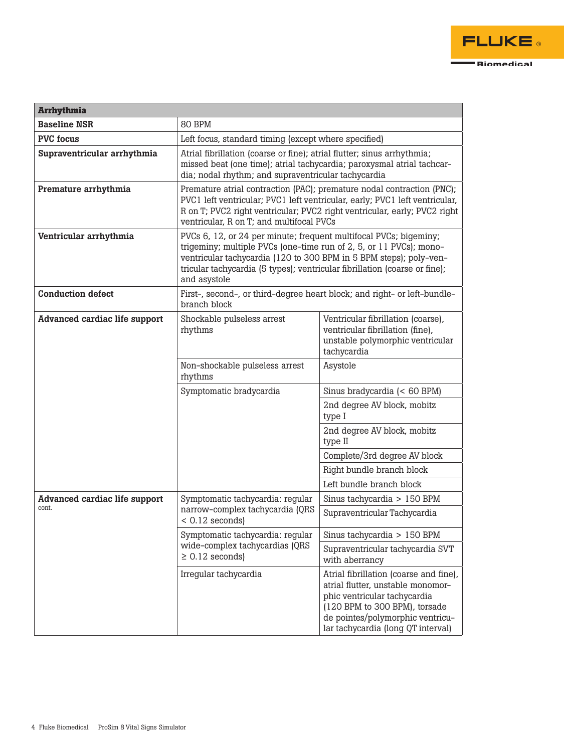| <b>Arrhythmia</b>                    |                                                                                                                                                                                                                                                                                                             |                                                                                                                                                                                                                        |
|--------------------------------------|-------------------------------------------------------------------------------------------------------------------------------------------------------------------------------------------------------------------------------------------------------------------------------------------------------------|------------------------------------------------------------------------------------------------------------------------------------------------------------------------------------------------------------------------|
| <b>Baseline NSR</b>                  | 80 BPM                                                                                                                                                                                                                                                                                                      |                                                                                                                                                                                                                        |
| <b>PVC</b> focus                     | Left focus, standard timing (except where specified)                                                                                                                                                                                                                                                        |                                                                                                                                                                                                                        |
| Supraventricular arrhythmia          | Atrial fibrillation (coarse or fine); atrial flutter; sinus arrhythmia;<br>missed beat (one time); atrial tachycardia; paroxysmal atrial tachcar-<br>dia; nodal rhythm; and supraventricular tachycardia                                                                                                    |                                                                                                                                                                                                                        |
| Premature arrhythmia                 | Premature atrial contraction (PAC); premature nodal contraction (PNC);<br>PVC1 left ventricular; PVC1 left ventricular, early; PVC1 left ventricular,<br>R on T; PVC2 right ventricular; PVC2 right ventricular, early; PVC2 right<br>ventricular, R on T; and multifocal PVCs                              |                                                                                                                                                                                                                        |
| Ventricular arrhythmia               | PVCs 6, 12, or 24 per minute; frequent multifocal PVCs; bigeminy;<br>trigeminy; multiple PVCs (one-time run of 2, 5, or 11 PVCs); mono-<br>ventricular tachycardia (120 to 300 BPM in 5 BPM steps); poly-ven-<br>tricular tachycardia (5 types); ventricular fibrillation (coarse or fine);<br>and asystole |                                                                                                                                                                                                                        |
| <b>Conduction defect</b>             | First-, second-, or third-degree heart block; and right- or left-bundle-<br>branch block                                                                                                                                                                                                                    |                                                                                                                                                                                                                        |
| <b>Advanced cardiac life support</b> | Shockable pulseless arrest<br>rhythms                                                                                                                                                                                                                                                                       | Ventricular fibrillation (coarse),<br>ventricular fibrillation (fine),<br>unstable polymorphic ventricular<br>tachycardia                                                                                              |
|                                      | Non-shockable pulseless arrest<br>rhythms                                                                                                                                                                                                                                                                   | Asystole                                                                                                                                                                                                               |
|                                      | Symptomatic bradycardia                                                                                                                                                                                                                                                                                     | Sinus bradycardia (< 60 BPM)                                                                                                                                                                                           |
|                                      |                                                                                                                                                                                                                                                                                                             | 2nd degree AV block, mobitz<br>type I                                                                                                                                                                                  |
|                                      |                                                                                                                                                                                                                                                                                                             | 2nd degree AV block, mobitz<br>type II                                                                                                                                                                                 |
|                                      |                                                                                                                                                                                                                                                                                                             | Complete/3rd degree AV block                                                                                                                                                                                           |
|                                      |                                                                                                                                                                                                                                                                                                             | Right bundle branch block                                                                                                                                                                                              |
|                                      |                                                                                                                                                                                                                                                                                                             | Left bundle branch block                                                                                                                                                                                               |
| <b>Advanced cardiac life support</b> | Symptomatic tachycardia: regular                                                                                                                                                                                                                                                                            | Sinus tachycardia > 150 BPM                                                                                                                                                                                            |
| cont.                                | narrow-complex tachycardia (QRS<br>$< 0.12$ seconds)                                                                                                                                                                                                                                                        | Supraventricular Tachycardia                                                                                                                                                                                           |
|                                      | Symptomatic tachycardia: regular                                                                                                                                                                                                                                                                            | Sinus tachycardia > 150 BPM                                                                                                                                                                                            |
|                                      | wide-complex tachycardias (QRS<br>$\geq 0.12$ seconds)                                                                                                                                                                                                                                                      | Supraventricular tachycardia SVT<br>with aberrancy                                                                                                                                                                     |
|                                      | Irregular tachycardia                                                                                                                                                                                                                                                                                       | Atrial fibrillation (coarse and fine),<br>atrial flutter, unstable monomor-<br>phic ventricular tachycardia<br>(120 BPM to 300 BPM), torsade<br>de pointes/polymorphic ventricu-<br>lar tachycardia (long QT interval) |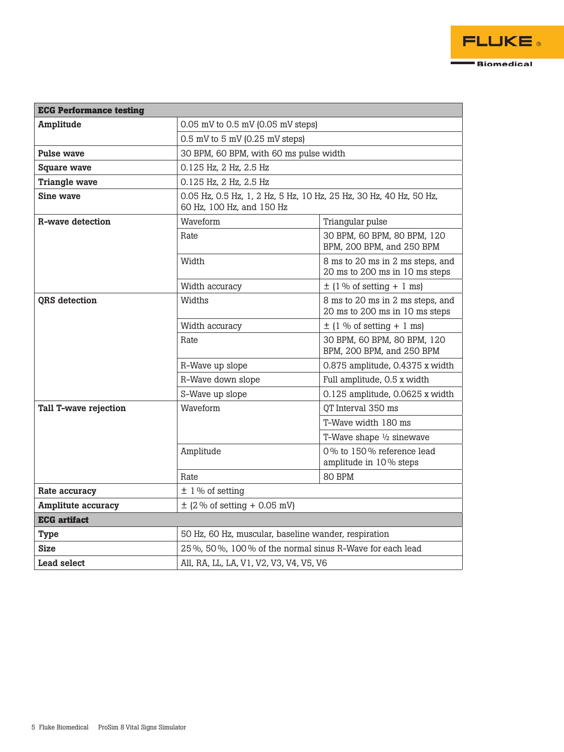| <b>ECG Performance testing</b> |                                                                                                 |                                                                    |
|--------------------------------|-------------------------------------------------------------------------------------------------|--------------------------------------------------------------------|
| Amplitude                      | $0.05$ mV to $0.5$ mV $(0.05$ mV steps)                                                         |                                                                    |
|                                | $0.5$ mV to $5$ mV (0.25 mV steps)                                                              |                                                                    |
| <b>Pulse wave</b>              | 30 BPM, 60 BPM, with 60 ms pulse width                                                          |                                                                    |
| <b>Square wave</b>             | 0.125 Hz, 2 Hz, 2.5 Hz                                                                          |                                                                    |
| <b>Triangle wave</b>           | 0.125 Hz, 2 Hz, 2.5 Hz                                                                          |                                                                    |
| Sine wave                      | 0.05 Hz, 0.5 Hz, 1, 2 Hz, 5 Hz, 10 Hz, 25 Hz, 30 Hz, 40 Hz, 50 Hz,<br>60 Hz, 100 Hz, and 150 Hz |                                                                    |
| R-wave detection               | Waveform                                                                                        | Triangular pulse                                                   |
|                                | Rate                                                                                            | 30 BPM, 60 BPM, 80 BPM, 120<br>BPM, 200 BPM, and 250 BPM           |
|                                | Width                                                                                           | 8 ms to 20 ms in 2 ms steps, and<br>20 ms to 200 ms in 10 ms steps |
|                                | Width accuracy                                                                                  | $\pm$ (1 % of setting + 1 ms)                                      |
| <b>ORS</b> detection           | Widths                                                                                          | 8 ms to 20 ms in 2 ms steps, and<br>20 ms to 200 ms in 10 ms steps |
|                                | Width accuracy                                                                                  | $\pm$ (1 % of setting + 1 ms)                                      |
|                                | Rate                                                                                            | 30 BPM, 60 BPM, 80 BPM, 120<br>BPM, 200 BPM, and 250 BPM           |
|                                | R-Wave up slope                                                                                 | 0.875 amplitude, 0.4375 x width                                    |
|                                | R-Wave down slope                                                                               | Full amplitude, 0.5 x width                                        |
|                                | S-Wave up slope                                                                                 | 0.125 amplitude, 0.0625 x width                                    |
| <b>Tall T-wave rejection</b>   | Waveform                                                                                        | QT Interval 350 ms                                                 |
|                                |                                                                                                 | T-Wave width 180 ms                                                |
|                                |                                                                                                 | T-Wave shape $\frac{1}{2}$ sinewave                                |
|                                | Amplitude                                                                                       | 0% to 150% reference lead<br>amplitude in 10% steps                |
|                                | Rate                                                                                            | 80 BPM                                                             |
| Rate accuracy                  | $±$ 1 % of setting                                                                              |                                                                    |
| <b>Amplitute accuracy</b>      | $\pm$ (2 % of setting + 0.05 mV)                                                                |                                                                    |
| <b>ECG</b> artifact            |                                                                                                 |                                                                    |
| <b>Type</b>                    | 50 Hz, 60 Hz, muscular, baseline wander, respiration                                            |                                                                    |
| <b>Size</b>                    | 25%, 50%, 100% of the normal sinus R-Wave for each lead                                         |                                                                    |
| <b>Lead select</b>             | All, RA, LL, LA, V1, V2, V3, V4, V5, V6                                                         |                                                                    |

Biomedical

Е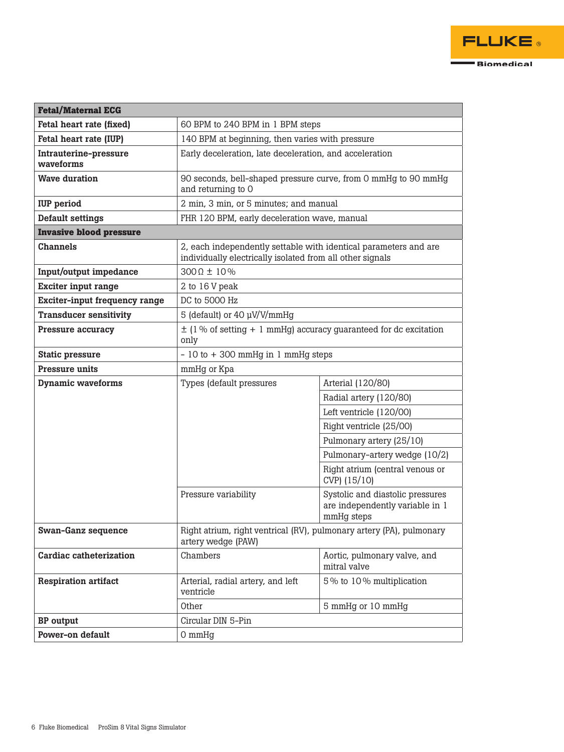| <b>Fetal/Maternal ECG</b>          |                                                                                                                               |                                                                                   |  |
|------------------------------------|-------------------------------------------------------------------------------------------------------------------------------|-----------------------------------------------------------------------------------|--|
| Fetal heart rate (fixed)           | 60 BPM to 240 BPM in 1 BPM steps                                                                                              |                                                                                   |  |
| Fetal heart rate (IUP)             | 140 BPM at beginning, then varies with pressure                                                                               |                                                                                   |  |
| Intrauterine-pressure<br>waveforms |                                                                                                                               | Early deceleration, late deceleration, and acceleration                           |  |
| <b>Wave duration</b>               | 90 seconds, bell-shaped pressure curve, from 0 mmHg to 90 mmHg<br>and returning to 0                                          |                                                                                   |  |
| <b>IUP</b> period                  | 2 min, 3 min, or 5 minutes; and manual                                                                                        |                                                                                   |  |
| <b>Default settings</b>            | FHR 120 BPM, early deceleration wave, manual                                                                                  |                                                                                   |  |
| <b>Invasive blood pressure</b>     |                                                                                                                               |                                                                                   |  |
| <b>Channels</b>                    | 2, each independently settable with identical parameters and are<br>individually electrically isolated from all other signals |                                                                                   |  |
| Input/output impedance             | $300 \Omega \pm 10 \%$                                                                                                        |                                                                                   |  |
| <b>Exciter input range</b>         | 2 to 16 V peak                                                                                                                |                                                                                   |  |
| Exciter-input frequency range      | DC to 5000 Hz                                                                                                                 |                                                                                   |  |
| <b>Transducer sensitivity</b>      | 5 (default) or 40 µV/V/mmHg                                                                                                   |                                                                                   |  |
| <b>Pressure accuracy</b>           | $\pm$ (1 % of setting + 1 mmHg) accuracy guaranteed for dc excitation<br>only                                                 |                                                                                   |  |
| <b>Static pressure</b>             | $-10$ to $+300$ mmHg in 1 mmHg steps                                                                                          |                                                                                   |  |
| <b>Pressure units</b>              | mmHg or Kpa                                                                                                                   |                                                                                   |  |
| <b>Dynamic waveforms</b>           | Types (default pressures                                                                                                      | Arterial (120/80)                                                                 |  |
|                                    |                                                                                                                               | Radial artery (120/80)                                                            |  |
|                                    |                                                                                                                               | Left ventricle (120/00)                                                           |  |
|                                    |                                                                                                                               | Right ventricle (25/00)                                                           |  |
|                                    |                                                                                                                               | Pulmonary artery (25/10)                                                          |  |
|                                    |                                                                                                                               | Pulmonary-artery wedge (10/2)                                                     |  |
|                                    |                                                                                                                               | Right atrium (central venous or<br>CVP) (15/10)                                   |  |
|                                    | Pressure variability                                                                                                          | Systolic and diastolic pressures<br>are independently variable in 1<br>mmHg steps |  |
| <b>Swan-Ganz sequence</b>          | Right atrium, right ventrical (RV), pulmonary artery (PA), pulmonary<br>artery wedge (PAW)                                    |                                                                                   |  |
| Cardiac catheterization            | Chambers                                                                                                                      | Aortic, pulmonary valve, and<br>mitral valve                                      |  |
| <b>Respiration artifact</b>        | Arterial, radial artery, and left<br>ventricle                                                                                | 5% to 10% multiplication                                                          |  |
|                                    | Other                                                                                                                         | 5 mmHg or 10 mmHg                                                                 |  |
| <b>BP</b> output                   | Circular DIN 5-Pin                                                                                                            |                                                                                   |  |
| Power-on default                   | 0 mmHg                                                                                                                        |                                                                                   |  |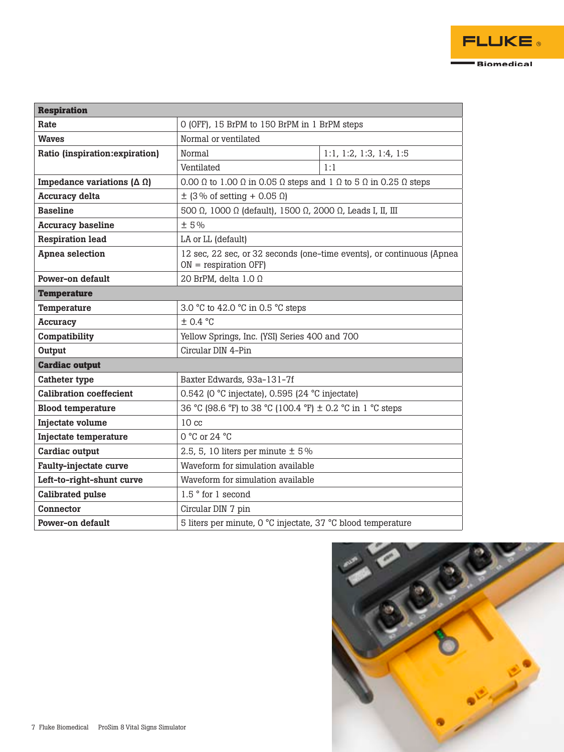| <b>Respiration</b>                     |                                                                                                           |                         |
|----------------------------------------|-----------------------------------------------------------------------------------------------------------|-------------------------|
| Rate                                   | O (OFF), 15 BrPM to 150 BrPM in 1 BrPM steps                                                              |                         |
| <b>Waves</b>                           | Normal or ventilated                                                                                      |                         |
| Ratio (inspiration: expiration)        | Normal                                                                                                    | 1:1, 1:2, 1:3, 1:4, 1:5 |
|                                        | Ventilated                                                                                                | 1:1                     |
| Impedance variations $(\Delta \Omega)$ | 0.00 $\Omega$ to 1.00 $\Omega$ in 0.05 $\Omega$ steps and 1 $\Omega$ to 5 $\Omega$ in 0.25 $\Omega$ steps |                         |
| <b>Accuracy delta</b>                  | $\pm$ (3% of setting + 0.05 $\Omega$ )                                                                    |                         |
| <b>Baseline</b>                        | 500 Ω, 1000 Ω (default), 1500 Ω, 2000 Ω, Leads I, II, III                                                 |                         |
| <b>Accuracy baseline</b>               | ±5%                                                                                                       |                         |
| <b>Respiration lead</b>                | LA or LL (default)                                                                                        |                         |
| Apnea selection                        | 12 sec, 22 sec, or 32 seconds (one-time events), or continuous (Apnea<br>$ON = respiration$ OFF)          |                         |
| Power-on default                       | 20 BrPM, delta $1.0 \Omega$                                                                               |                         |
| <b>Temperature</b>                     |                                                                                                           |                         |
| Temperature                            | 3.0 °C to 42.0 °C in 0.5 °C steps                                                                         |                         |
| <b>Accuracy</b>                        | ± 0.4 °C                                                                                                  |                         |
| Compatibility                          | Yellow Springs, Inc. (YSI) Series 400 and 700                                                             |                         |
| Output                                 | Circular DIN 4-Pin                                                                                        |                         |
| <b>Cardiac output</b>                  |                                                                                                           |                         |
| <b>Catheter type</b>                   | Baxter Edwards, 93a-131-7f                                                                                |                         |
| <b>Calibration coeffecient</b>         | 0.542 (0 °C injectate), 0.595 (24 °C injectate)                                                           |                         |
| <b>Blood temperature</b>               | 36 °C (98.6 °F) to 38 °C (100.4 °F) ± 0.2 °C in 1 °C steps                                                |                         |
| Injectate volume                       | 10 <sub>cc</sub>                                                                                          |                         |
| Injectate temperature                  | $0 °C$ or 24 $ °C$                                                                                        |                         |
| Cardiac output                         | 2.5, 5, 10 liters per minute $\pm$ 5%                                                                     |                         |
| <b>Faulty-injectate curve</b>          | Waveform for simulation available                                                                         |                         |
| Left-to-right-shunt curve              | Waveform for simulation available                                                                         |                         |
| <b>Calibrated pulse</b>                | 1.5° for 1 second                                                                                         |                         |
| Connector                              | Circular DIN 7 pin                                                                                        |                         |
| Power-on default                       | 5 liters per minute, 0 °C injectate, 37 °C blood temperature                                              |                         |

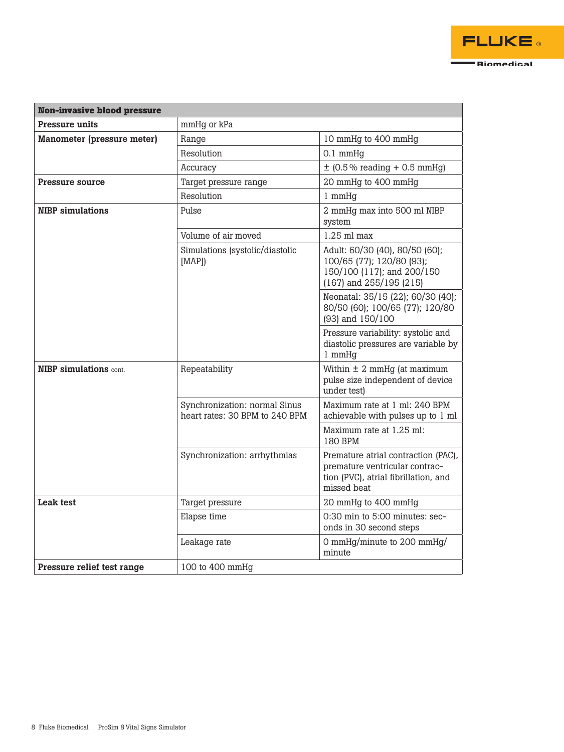| <b>Non-invasive blood pressure</b> |                                                                 |                                                                                                                              |
|------------------------------------|-----------------------------------------------------------------|------------------------------------------------------------------------------------------------------------------------------|
| <b>Pressure units</b>              | mmHg or kPa                                                     |                                                                                                                              |
| <b>Manometer (pressure meter)</b>  | Range                                                           | 10 mmHg to 400 mmHg                                                                                                          |
|                                    | Resolution                                                      | $0.1$ mmHg                                                                                                                   |
|                                    | Accuracy                                                        | $\pm$ (0.5% reading + 0.5 mmHg)                                                                                              |
| <b>Pressure source</b>             | Target pressure range                                           | 20 mmHg to 400 mmHg                                                                                                          |
|                                    | Resolution                                                      | 1 mmHq                                                                                                                       |
| <b>NIBP</b> simulations            | Pulse                                                           | 2 mmHg max into 500 ml NIBP<br>system                                                                                        |
|                                    | Volume of air moved                                             | $1.25$ ml max                                                                                                                |
|                                    | Simulations (systolic/diastolic<br>[MAP]                        | Adult: 60/30 (40), 80/50 (60);<br>100/65 (77); 120/80 (93);<br>150/100 (117); and 200/150<br>$(167)$ and 255/195 (215)       |
|                                    |                                                                 | Neonatal: 35/15 (22); 60/30 (40);<br>80/50 (60); 100/65 (77); 120/80<br>(93) and 150/100                                     |
|                                    |                                                                 | Pressure variability: systolic and<br>diastolic pressures are variable by<br>1 mmHg                                          |
| <b>NIBP</b> simulations cont.      | Repeatability                                                   | Within $\pm$ 2 mmHg (at maximum<br>pulse size independent of device<br>under test)                                           |
|                                    | Synchronization: normal Sinus<br>heart rates: 30 BPM to 240 BPM | Maximum rate at 1 ml: 240 BPM<br>achievable with pulses up to 1 ml                                                           |
|                                    |                                                                 | Maximum rate at 1.25 ml:<br>180 BPM                                                                                          |
|                                    | Synchronization: arrhythmias                                    | Premature atrial contraction (PAC),<br>premature ventricular contrac-<br>tion (PVC), atrial fibrillation, and<br>missed beat |
| <b>Leak test</b>                   | Target pressure                                                 | 20 mmHg to 400 mmHg                                                                                                          |
|                                    | Elapse time                                                     | 0:30 min to 5:00 minutes: sec-<br>onds in 30 second steps                                                                    |
|                                    | Leakage rate                                                    | 0 mmHg/minute to 200 mmHg/<br>minute                                                                                         |
| Pressure relief test range         | 100 to 400 mmHg                                                 |                                                                                                                              |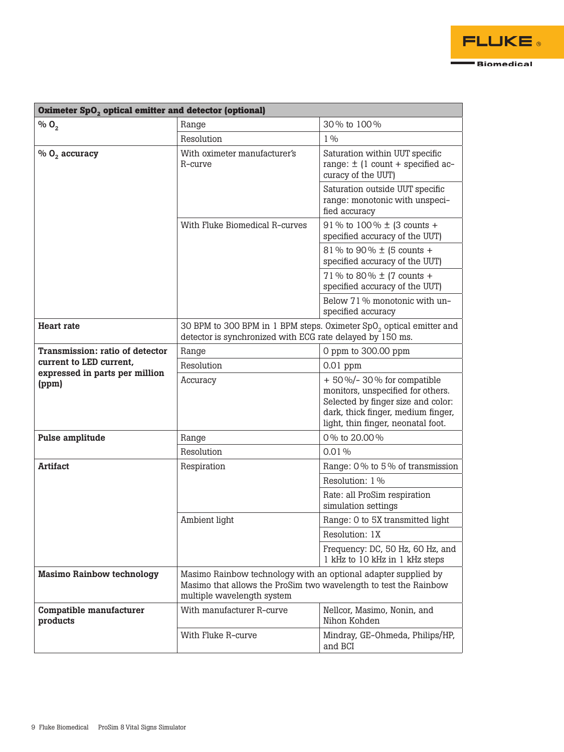| Oximeter SpO <sub>2</sub> optical emitter and detector (optional) |                                                                                                                                                                  |                                                                                                                                                                                     |
|-------------------------------------------------------------------|------------------------------------------------------------------------------------------------------------------------------------------------------------------|-------------------------------------------------------------------------------------------------------------------------------------------------------------------------------------|
| $\%$ O <sub>2</sub>                                               | Range                                                                                                                                                            | 30% to 100%                                                                                                                                                                         |
|                                                                   | Resolution                                                                                                                                                       | $1\%$                                                                                                                                                                               |
| $% 02$ accuracy                                                   | With oximeter manufacturer's<br>$R$ -curve                                                                                                                       | Saturation within UUT specific<br>range: $\pm$ (1 count + specified ac-<br>curacy of the UUT)                                                                                       |
|                                                                   |                                                                                                                                                                  | Saturation outside UUT specific<br>range: monotonic with unspeci-<br>fied accuracy                                                                                                  |
|                                                                   | With Fluke Biomedical R-curves                                                                                                                                   | 91% to 100% $\pm$ (3 counts +<br>specified accuracy of the UUT)                                                                                                                     |
|                                                                   |                                                                                                                                                                  | 81% to 90% ± (5 counts +<br>specified accuracy of the UUT)                                                                                                                          |
|                                                                   |                                                                                                                                                                  | 71% to 80% ± (7 counts +<br>specified accuracy of the UUT)                                                                                                                          |
|                                                                   |                                                                                                                                                                  | Below 71% monotonic with un-<br>specified accuracy                                                                                                                                  |
| <b>Heart rate</b>                                                 | 30 BPM to 300 BPM in 1 BPM steps. Oximeter SpO <sub>2</sub> optical emitter and<br>detector is synchronized with ECG rate delayed by 150 ms.                     |                                                                                                                                                                                     |
| Transmission: ratio of detector                                   | Range                                                                                                                                                            | 0 ppm to 300.00 ppm                                                                                                                                                                 |
| current to LED current,                                           | Resolution                                                                                                                                                       | $0.01$ ppm                                                                                                                                                                          |
| expressed in parts per million<br>(ppm)                           | Accuracy                                                                                                                                                         | $+50\%$ /-30% for compatible<br>monitors, unspecified for others.<br>Selected by finger size and color:<br>dark, thick finger, medium finger,<br>light, thin finger, neonatal foot. |
| Pulse amplitude                                                   | Range                                                                                                                                                            | 0% to 20.00%                                                                                                                                                                        |
|                                                                   | Resolution                                                                                                                                                       | 0.01%                                                                                                                                                                               |
| <b>Artifact</b>                                                   | Respiration                                                                                                                                                      | Range: 0% to 5% of transmission                                                                                                                                                     |
|                                                                   |                                                                                                                                                                  | Resolution: 1 %                                                                                                                                                                     |
|                                                                   |                                                                                                                                                                  | Rate: all ProSim respiration<br>simulation settings                                                                                                                                 |
|                                                                   | Ambient light                                                                                                                                                    | Range: 0 to 5X transmitted light                                                                                                                                                    |
|                                                                   |                                                                                                                                                                  | Resolution: 1X                                                                                                                                                                      |
|                                                                   |                                                                                                                                                                  | Frequency: DC, 50 Hz, 60 Hz, and<br>1 kHz to 10 kHz in 1 kHz steps                                                                                                                  |
| <b>Masimo Rainbow technology</b>                                  | Masimo Rainbow technology with an optional adapter supplied by<br>Masimo that allows the ProSim two wavelength to test the Rainbow<br>multiple wavelength system |                                                                                                                                                                                     |
| Compatible manufacturer<br>products                               | With manufacturer R-curve                                                                                                                                        | Nellcor, Masimo, Nonin, and<br>Nihon Kohden                                                                                                                                         |
|                                                                   | With Fluke R-curve                                                                                                                                               | Mindray, GE-Ohmeda, Philips/HP,<br>and BCI                                                                                                                                          |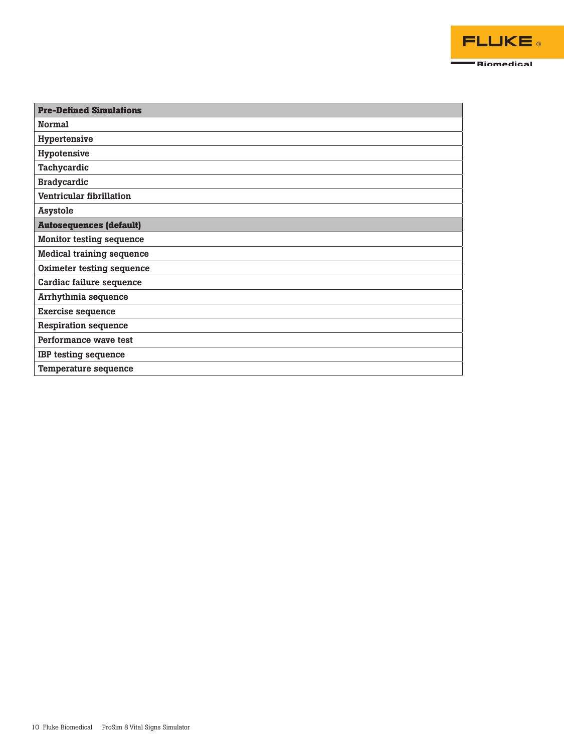

| <b>Pre-Defined Simulations</b>   |
|----------------------------------|
| <b>Normal</b>                    |
| Hypertensive                     |
| Hypotensive                      |
| Tachycardic                      |
| <b>Bradycardic</b>               |
| Ventricular fibrillation         |
| <b>Asystole</b>                  |
| <b>Autosequences (default)</b>   |
| <b>Monitor testing sequence</b>  |
| <b>Medical training sequence</b> |
| Oximeter testing sequence        |
| Cardiac failure sequence         |
| Arrhythmia sequence              |
| <b>Exercise sequence</b>         |
| <b>Respiration sequence</b>      |
| Performance wave test            |
| <b>IBP</b> testing sequence      |
| Temperature sequence             |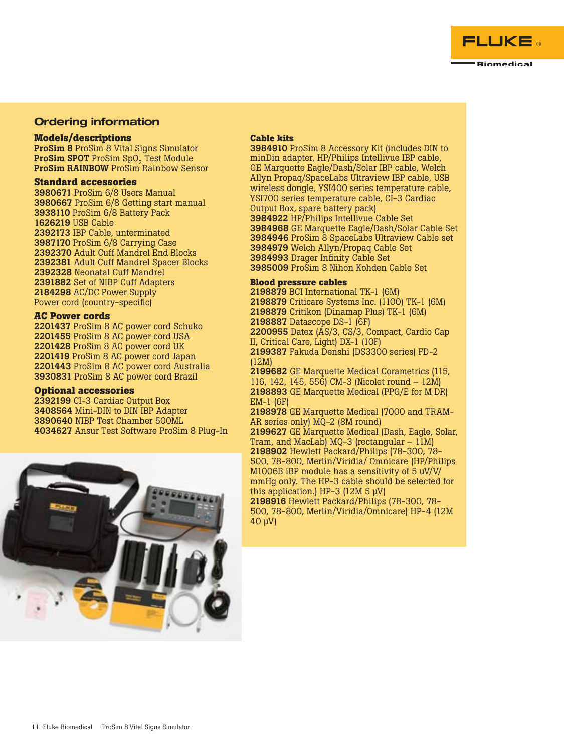

## Ordering information

### **Models/descriptions**

ProSim 8 ProSim 8 Vital Signs Simulator ProSim SPOT ProSim SpO<sub>2</sub> Test Module ProSim RAINBOW ProSim Rainbow Sensor

### **Standard accessories**

 ProSim 6/8 Users Manual ProSim 6/8 Getting start manual ProSim 6/8 Battery Pack USB Cable IBP Cable, unterminated ProSim 6/8 Carrying Case Adult Cuff Mandrel End Blocks Adult Cuff Mandrel Spacer Blocks Neonatal Cuff Mandrel Set of NIBP Cuff Adapters AC/DC Power Supply Power cord (country-specific)

#### **AC Power cords**

 ProSim 8 AC power cord Schuko ProSim 8 AC power cord USA ProSim 8 AC power cord UK ProSim 8 AC power cord Japan ProSim 8 AC power cord Australia ProSim 8 AC power cord Brazil

#### **Optional accessories**

 CI-3 Cardiac Output Box Mini-DIN to DIN IBP Adapter NIBP Test Chamber 500ML Ansur Test Software ProSim 8 Plug-In



### **Cable kits**

3984910 ProSim 8 Accessory Kit (includes DIN to minDin adapter, HP/Philips Intellivue IBP cable, GE Marquette Eagle/Dash/Solar IBP cable, Welch Allyn Propaq/SpaceLabs Ultraview IBP cable, USB wireless dongle, YSI400 series temperature cable, YSI700 series temperature cable, CI-3 Cardiac Output Box, spare battery pack) 3984922 HP/Philips Intellivue Cable Set 3984968 GE Marquette Eagle/Dash/Solar Cable Set 3984946 ProSim 8 SpaceLabs Ultraview Cable set 3984979 Welch Allyn/Propaq Cable Set 3984993 Drager Infinity Cable Set 3985009 ProSim 8 Nihon Kohden Cable Set

#### **Blood pressure cables**

2198879 BCI International TK-1 (6M)

2198879 Criticare Systems Inc. (1100) TK-1 (6M)

2198879 Critikon (Dinamap Plus) TK-1 (6M)

2198887 Datascope DS-1 (6F)

2200955 Datex (AS/3, CS/3, Compact, Cardio Cap II, Critical Care, Light) DX-1 (10F)

2199387 Fakuda Denshi (DS3300 series) FD-2 (12M)

2199682 GE Marquette Medical Corametrics (115, 116, 142, 145, 556) CM-3 (Nicolet round – 12M) 2198893 GE Marquette Medical (PPG/E for M DR) EM-1 (6F)

2198978 GE Marquette Medical (7000 and TRAM-AR series only) MQ-2 (8M round)

2199627 GE Marquette Medical (Dash, Eagle, Solar, Tram, and MacLab) MQ-3 (rectangular – 11M) 2198902 Hewlett Packard/Philips (78-300, 78- 500, 78-800, Merlin/Viridia/ Omnicare (HP/Philips M1006B iBP module has a sensitivity of 5 uV/V/ mmHg only. The HP-3 cable should be selected for this application.) HP-3 (12Μ 5 μV) 2198916 Hewlett Packard/Philips (78-300, 78- 500, 78-800, Merlin/Viridia/Omnicare) HP-4 (12M 40 μV)